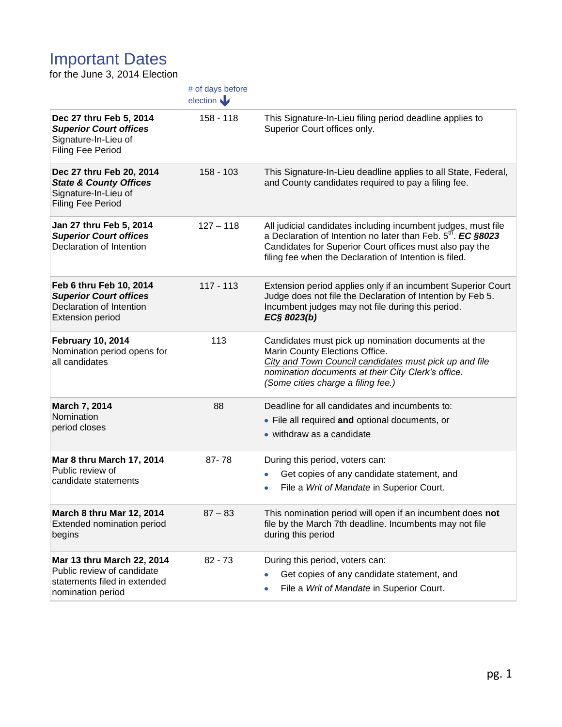## Important Dates

for the June 3, 2014 Election

|                                                                                                                 | # of days before<br>election |                                                                                                                                                                                                                                                                |
|-----------------------------------------------------------------------------------------------------------------|------------------------------|----------------------------------------------------------------------------------------------------------------------------------------------------------------------------------------------------------------------------------------------------------------|
| Dec 27 thru Feb 5, 2014<br><b>Superior Court offices</b><br>Signature-In-Lieu of<br>Filing Fee Period           | $158 - 118$                  | This Signature-In-Lieu filing period deadline applies to<br>Superior Court offices only.                                                                                                                                                                       |
| Dec 27 thru Feb 20, 2014<br><b>State &amp; County Offices</b><br>Signature-In-Lieu of<br>Filing Fee Period      | $158 - 103$                  | This Signature-In-Lieu deadline applies to all State, Federal,<br>and County candidates required to pay a filing fee.                                                                                                                                          |
| Jan 27 thru Feb 5, 2014<br><b>Superior Court offices</b><br>Declaration of Intention                            | $127 - 118$                  | All judicial candidates including incumbent judges, must file<br>a Declaration of Intention no later than Feb. 5 <sup>th</sup> . EC §8023<br>Candidates for Superior Court offices must also pay the<br>filing fee when the Declaration of Intention is filed. |
| Feb 6 thru Feb 10, 2014<br><b>Superior Court offices</b><br>Declaration of Intention<br><b>Extension period</b> | $117 - 113$                  | Extension period applies only if an incumbent Superior Court<br>Judge does not file the Declaration of Intention by Feb 5.<br>Incumbent judges may not file during this period.<br>EC§ 8023(b)                                                                 |
| <b>February 10, 2014</b><br>Nomination period opens for<br>all candidates                                       | 113                          | Candidates must pick up nomination documents at the<br>Marin County Elections Office.<br>City and Town Council candidates must pick up and file<br>nomination documents at their City Clerk's office.<br>(Some cities charge a filing fee.)                    |
| March 7, 2014<br>Nomination<br>period closes                                                                    | 88                           | Deadline for all candidates and incumbents to:<br>• File all required and optional documents, or<br>• withdraw as a candidate                                                                                                                                  |
| Mar 8 thru March 17, 2014<br>Public review of<br>candidate statements                                           | $87 - 78$                    | During this period, voters can:<br>Get copies of any candidate statement, and<br>File a Writ of Mandate in Superior Court.                                                                                                                                     |
| <b>March 8 thru Mar 12, 2014</b><br>Extended nomination period<br>begins                                        | $87 - 83$                    | This nomination period will open if an incumbent does not<br>file by the March 7th deadline. Incumbents may not file<br>during this period                                                                                                                     |
| Mar 13 thru March 22, 2014<br>Public review of candidate<br>statements filed in extended<br>nomination period   | $82 - 73$                    | During this period, voters can:<br>Get copies of any candidate statement, and<br>File a Writ of Mandate in Superior Court.                                                                                                                                     |